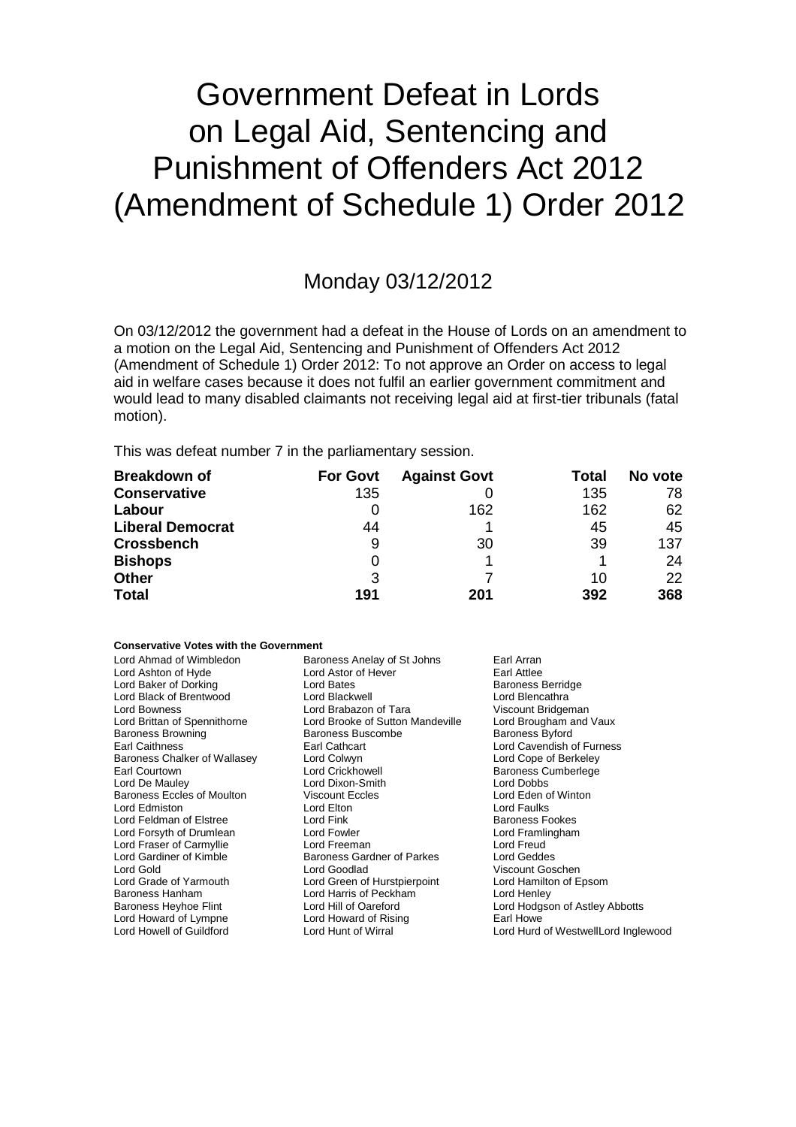# Government Defeat in Lords on Legal Aid, Sentencing and Punishment of Offenders Act 2012 (Amendment of Schedule 1) Order 2012

### Monday 03/12/2012

On 03/12/2012 the government had a defeat in the House of Lords on an amendment to a motion on the Legal Aid, Sentencing and Punishment of Offenders Act 2012 (Amendment of Schedule 1) Order 2012: To not approve an Order on access to legal aid in welfare cases because it does not fulfil an earlier government commitment and would lead to many disabled claimants not receiving legal aid at first-tier tribunals (fatal motion).

This was defeat number 7 in the parliamentary session.

| <b>Breakdown of</b>     | <b>For Govt</b> | <b>Against Govt</b> | Total | No vote |
|-------------------------|-----------------|---------------------|-------|---------|
| <b>Conservative</b>     | 135             |                     | 135   | 78      |
| Labour                  |                 | 162                 | 162   | 62      |
| <b>Liberal Democrat</b> | 44              |                     | 45    | 45      |
| <b>Crossbench</b>       | 9               | 30                  | 39    | 137     |
| <b>Bishops</b>          | 0               |                     |       | 24      |
| <b>Other</b>            | 3               |                     | 10    | 22      |
| <b>Total</b>            | 191             | 201                 | 392   | 368     |

### **Conservative Votes with the Government**

| Lord Ahmad of Wimbledon<br>Lord Ashton of Hyde | Baroness Anelay of St Johns<br>Lord Astor of Hever | Earl Arran<br>Earl Attlee           |
|------------------------------------------------|----------------------------------------------------|-------------------------------------|
| Lord Baker of Dorking                          | Lord Bates                                         | <b>Baroness Berridge</b>            |
| Lord Black of Brentwood                        | Lord Blackwell                                     | Lord Blencathra                     |
| Lord Bowness                                   | Lord Brabazon of Tara                              | Viscount Bridgeman                  |
| Lord Brittan of Spennithorne                   | Lord Brooke of Sutton Mandeville                   | Lord Brougham and Vaux              |
| <b>Baroness Browning</b>                       | Baroness Buscombe                                  | <b>Baroness Byford</b>              |
| Earl Caithness                                 | Earl Cathcart                                      | Lord Cavendish of Furness           |
| Baroness Chalker of Wallasey                   | Lord Colwyn                                        | Lord Cope of Berkeley               |
| Earl Courtown                                  | Lord Crickhowell                                   | <b>Baroness Cumberlege</b>          |
| Lord De Mauley                                 | Lord Dixon-Smith                                   | Lord Dobbs                          |
| Baroness Eccles of Moulton                     | <b>Viscount Eccles</b>                             | Lord Eden of Winton                 |
| Lord Edmiston                                  | Lord Elton                                         | Lord Faulks                         |
| Lord Feldman of Elstree                        | Lord Fink                                          | <b>Baroness Fookes</b>              |
| Lord Forsyth of Drumlean                       | Lord Fowler                                        | Lord Framlingham                    |
| Lord Fraser of Carmyllie                       | Lord Freeman                                       | Lord Freud                          |
| Lord Gardiner of Kimble                        | <b>Baroness Gardner of Parkes</b>                  | Lord Geddes                         |
| Lord Gold                                      | Lord Goodlad                                       | Viscount Goschen                    |
| Lord Grade of Yarmouth                         | Lord Green of Hurstpierpoint                       | Lord Hamilton of Epsom              |
| Baroness Hanham                                | Lord Harris of Peckham                             | Lord Henley                         |
| Baroness Heyhoe Flint                          | Lord Hill of Oareford                              | Lord Hodgson of Astley Abbotts      |
| Lord Howard of Lympne                          | Lord Howard of Rising                              | Earl Howe                           |
| Lord Howell of Guildford                       | Lord Hunt of Wirral                                | Lord Hurd of WestwellLord Inglewood |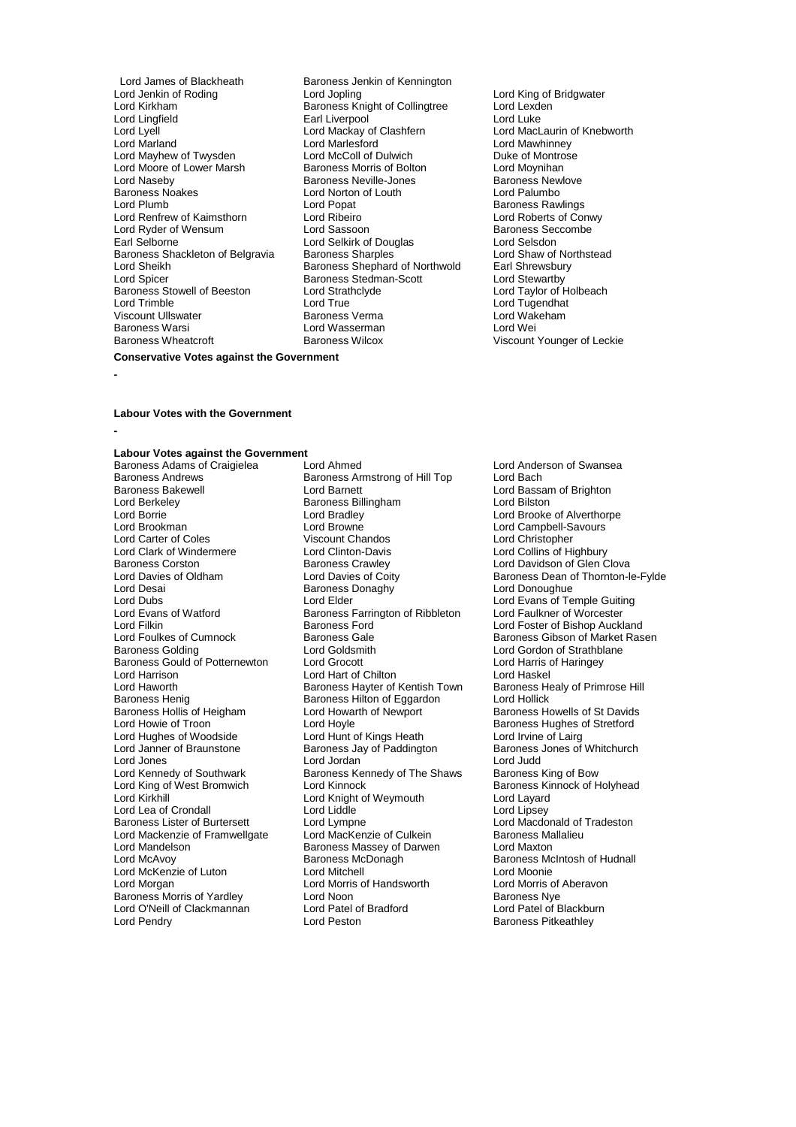Lord James of Blackheath Baroness Jenkin of Kennington<br>
Lord Jenkin of Roding<br>
Lord Jopling Lord Jenkin of Roding **Lord Lord Jopling** Cord Lord Lord King of Bridgwater<br>
Lord Kirkham **Lord Lexden**<br>
Lord Lexden Lord Kirkham **Baroness Knight of Collingtree** Lord Lexd<br>
Lord Lingfield **Baroness Knight of Collingtree** Lord Luke Lord Lingfield<br>
Lord Lyell<br>
Lord Mackay of Clashfern Lord Lyell Lord Mackay of Clashfern Lord MacLaurin of Knebworth Lord Mayhew of Twysden Lord McColl of Dulwich Duke of Montro<br>
Lord Moore of Lower Marsh Baroness Morris of Bolton Lord Moynihan Lord Moore of Lower Marsh **Baroness Morris of Bolton** Lord Moynihan<br>
Lord Naseby **Baroness Mexille-Jones** Baroness Newlove Lord Naseby **Baroness Neville-Jones** Baroness Newlove<br>Baroness Noakes **Baroness Newlove Baroness New Baroness New**<br>Lord Palumbo Baroness Noakes **Lord Norton of Louth Lord Plumb**<br>
Lord Plumb **Lord Poper** Lord Renfrew of Kaimsthorn Lord Ribeiro Lord Roberts of Conwy Lord Ryder of Wensum Lord Sassoon Cord Sassoon<br>
Lord Selverness Security Cord Selvich Cord Selverness Security of Selverness Security Cord Selverness Securit<br>
Lord Selverness And Selvich Cord Selvich Cord Selverness Securi Baroness Shackleton of Belgravia Baroness Sharples **Baroness Sharples** Lord Shaw of Northstead Lord Shaw of Northstead Lord Shaw of Northstead Lord Shaw of Northstead Lord Shaw of Northstead Lord Sharpless Shephard of Nort Lord Sheikh **Baroness Shephard of Northwold**<br>
Lord Spicer **Baroness Stedman-Scott** Lord Spicer **Baroness Stedman-Scott**<br>
Baroness Stowell of Beeston **Lord Strathclyde** Lord Spicer<br>
Baroness Stedman-Scott<br>
Baroness Stowell of Beeston Lord Strathclyde Lord Taylor of Holbeach<br>
Lord True Lord Tune Lord Tune<br>
Lord Tune Lord Tune<br>
Lord Tune<br>
Lord Tune Lord Trimble Lord True Lord Tugendhat Viscount Ullswater Baroness Verma Lord Wakeham Baroness Warsi **Charles Exercise Server Lord Wasserman**<br>Baroness Wheatcroft **Charles Baroness Wilcox** 

Lord Marlesford<br>
Lord McColl of Dulwich<br>
Duke of Montrose Lord Plumb Lord Popat Baroness Rawlings Earl Selkirk of Douglas<br>
Earl Sharples<br>
Early Lord Shaw of Northstead<br>
Lord Shaw of Northstead Baroness Wilcox Viscount Younger of Leckie

### **Conservative Votes against the Government**

**-**

#### **Labour Votes with the Government**

**-**

# **Labour Votes against the Government**

Baroness Andrews **Baroness Andrews**<br>Baroness Bakewell **Baroness Andrews**<br>Lord Barnett **Baroness Bakewell Lord Barnett** Lord Barnett Lord Bassam of Brighton<br>
Lord Barnett Lord Barnett Lord Billingham<br>
Lord Billingham<br>
Lord Billingham<br>
Lord Billingham Lord Berkeley Baroness Billingham<br>
Lord Borrie **Billingham**<br>
Lord Bradley Lord Borrie **Lord Bradley Lord Bradley** (Lord Brooke of Alverthorpe Lord Brooke of Alverthorpe Lord Brooke of Alverthorpe Lord Brooke of Alverthorpe Lord Brooke at  $\sim$  Lord Brooke and Brooke and Brooke and Brooke and Broo Lord Carter of Coles Viscount Chandos Lord Christopher Lord Clark of Windermere Lord Clinton-Davis<br>
Baroness Corston Baroness Crawley Baroness Corston **Baroness Crawley** Baroness Crawley Lord Davidson of Glen Clova<br>
Lord Davies of Oldham Lord Davies of Coity **Baroness Dean of Thornton-**lo Lord Desai Baroness Donaghy Lord Donoughue Lord Dubs<br>
Lord Evans of Watford **Lord Elder** Lord Evans of Temple Guiting<br>
Lord Evans of Watford **Lord Example Corporation**<br>
Baroness Farrington of Ribbleton Lord Faulkner of Worcester Lord Evans of Watford Baroness Farrington of Ribbleton Lord Filkin Baroness Ford Lord Filkin **Exercise Form Baroness Ford** Europe Lord Foster of Bishop Auckland<br>
Lord Foulkes of Cumnock **Baroness Gale** Baroness Gibson of Market Ras Baroness Gould of Potternewton Lord Grocott Lord Harris Lord Harris on Lord Harris on Lord Haskel Lord Harrison Lord Harrison Lord Harrison Lord Harrison Lord Harrison Lord Haskel<br>Lord Haskel Lord Haskel Baroness Havter of Kentish Town Baroness Healy of Primrose Hill Lord Haworth **Baroness Hayter of Kentish Town** Baroness Henrich Baroness Health Baroness Healy Baroness Hilton of Equardon Baroness Hollis of Heigham Lord Howarth Lord Howarth Carolis of Heigham Lord Hoyle Lord Hughes of Woodside Lord Hunt of Kings Heath<br>
Lord Janner of Braunstone Baroness Jay of Paddington Lord Hughes of Woodside<br>
Lord Hunt of Kings Heath Lord Irvine of Lairg<br>
Lord Janner of Braunstone Baroness Jay of Paddington Baroness Jones of Whitchurch<br>
Lord Jones Lord Jordan Lord Judd Lord Jones Lord Jordan Lord Judd Lord Kennedy of Southwark Baroness Kennedy of The Shaws Baroness King of Bow<br>Lord King of West Bromwich Lord Kinnock Baroness Kinnock of H Lord King of West Bromwich Lord Kinnock<br>
Lord King Lord Kinght of Weymouth Lord Layard<br>
Lord Kirkhill Cord Kinght of Weymouth Lord Layard Lord Lea of Crondall Lord Liddle<br>
Baroness Lister of Burtersett Lord Lympne Lord Mackenzie of Framwellgate Lord MacKenzie of Culkein Baroness Mallalieus MacKenzie of Culkein Baroness Ma<br>Lord Mandelson Baroness Massey of Darwen Lord Maxton Lord Mandelson Baroness Massey of Darwen Lord Maxton Lord McKenzie of Luton Lord Mitchell<br>
Lord Morgan Lord Morgan Lord Morris of Handsworth Lord Morris of Aberavon Baroness Morris of Yardley **Lord Noon**<br>
Lord O'Neill of Clackmannan **Baroness Lord Patel of Bradford** Lord Patel of Blackburn Lord O'Neill of Clackmannan Lord Patel of Lord Pendry<br>
Lord Pendry Clackmannan Lord Peston

Baroness Adams of Craigielea Lord Ahmed<br>
Baroness Andrews Baroness Armstrong of Hill Top Lord Bach<br>
Lord Bach Lord Browne Lord Campbell-Savours<br>
Viscount Chandos<br>
Lord Christopher Lord Goldsmith Lord Gordon of Strathblane<br>
Lord Grocott Lord Harris of Haringey Baroness Hilton of Eggardon Lord Hollick<br>
Lord Howarth of Newport Baroness Howells of St Davids Lord Hoyle<br>
Lord Hunt of Kings Heath **Example 2** Lord Irvine of Lairg<br>
Lord Irvine of Lairg Lord Knight of Weymouth Lord Layard<br>
Lord Liddle Lord Lipsey Lord Lympne<br>
Lord MacKenzie of Culkein<br>
Baroness Mallalieu Baroness McDonagh Baroness McIntosh of Hudnall<br>
Lord Mitchell<br>
Lord Moonie Lord Morris of Handsworth

Baroness Dean of Thornton-le-Fylde Lord Foulkes of Cumnock **Baroness Gale** Baroness Gale Baroness Gibson of Market Rasen<br>Baroness Golding **Baroness Colding** Lord Goldsmith **Baroness Colding** Lord Gordon of Strathblane Baroness Pitkeathley